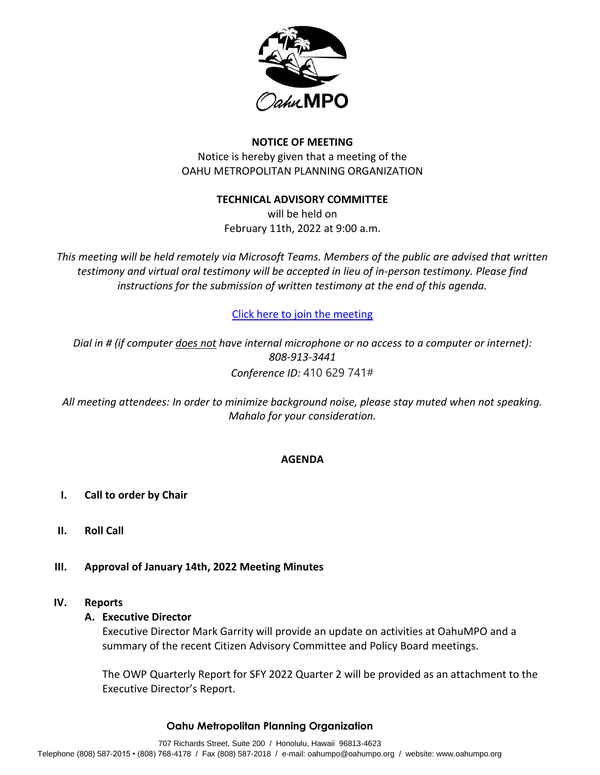

## **NOTICE OF MEETING**

Notice is hereby given that a meeting of the OAHU METROPOLITAN PLANNING ORGANIZATION

### **TECHNICAL ADVISORY COMMITTEE**

will be held on February 11th, 2022 at 9:00 a.m.

*This meeting will be held remotely via Microsoft Teams. Members of the public are advised that written testimony and virtual oral testimony will be accepted in lieu of in-person testimony. Please find instructions for the submission of written testimony at the end of this agenda.* 

# [Click here to join the meeting](https://teams.microsoft.com/l/meetup-join/19%3ameeting_MjlkZjJmYWMtMjIyMi00NWEzLWFlZTctMjRjZGRjZmFjYmNi%40thread.v2/0?context=%7b%22Tid%22%3a%2217291f7f-355b-4dd1-bac5-d71ce58243c3%22%2c%22Oid%22%3a%2280434199-fbf3-4d59-bc85-42daa967f36a%22%7d)

*Dial in # (if computer does not have internal microphone or no access to a computer or internet): 808-913-3441 Conference ID:* 410 629 741#

*All meeting attendees: In order to minimize background noise, please stay muted when not speaking. Mahalo for your consideration.*

### **AGENDA**

- **I. Call to order by Chair**
- **II. Roll Call**
- **III. Approval of January 14th, 2022 Meeting Minutes**

### **IV. Reports**

### **A. Executive Director**

Executive Director Mark Garrity will provide an update on activities at OahuMPO and a summary of the recent Citizen Advisory Committee and Policy Board meetings.

The OWP Quarterly Report for SFY 2022 Quarter 2 will be provided as an attachment to the Executive Director's Report.

### **Oahu Metropolitan Planning Organization**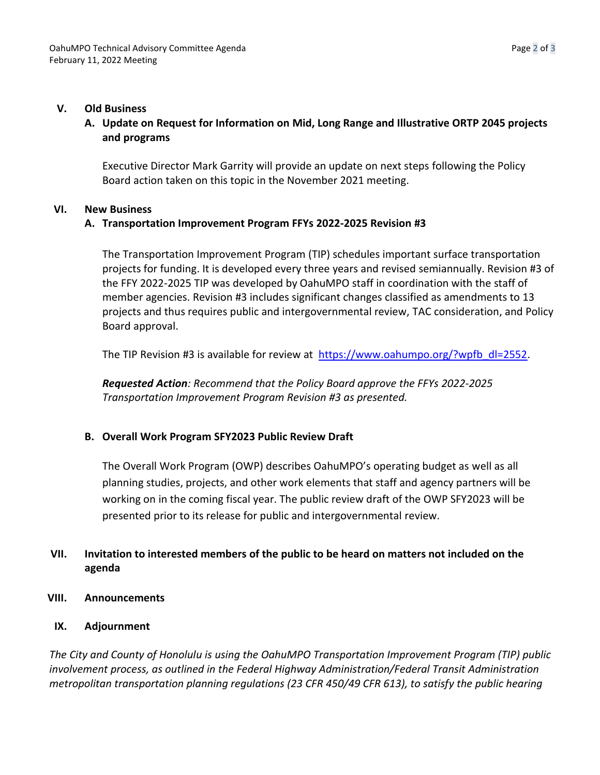### **V. Old Business**

# **A. Update on Request for Information on Mid, Long Range and Illustrative ORTP 2045 projects and programs**

Executive Director Mark Garrity will provide an update on next steps following the Policy Board action taken on this topic in the November 2021 meeting.

### **VI. New Business**

# **A. Transportation Improvement Program FFYs 2022-2025 Revision #3**

The Transportation Improvement Program (TIP) schedules important surface transportation projects for funding. It is developed every three years and revised semiannually. Revision #3 of the FFY 2022-2025 TIP was developed by OahuMPO staff in coordination with the staff of member agencies. Revision #3 includes significant changes classified as amendments to 13 projects and thus requires public and intergovernmental review, TAC consideration, and Policy Board approval.

The TIP Revision #3 is available for review at [https://www.oahumpo.org/?wpfb\\_dl=2552.](https://www.oahumpo.org/?wpfb_dl=2552)

*Requested Action: Recommend that the Policy Board approve the FFYs 2022-2025 Transportation Improvement Program Revision #3 as presented.* 

### **B. Overall Work Program SFY2023 Public Review Draft**

The Overall Work Program (OWP) describes OahuMPO's operating budget as well as all planning studies, projects, and other work elements that staff and agency partners will be working on in the coming fiscal year. The public review draft of the OWP SFY2023 will be presented prior to its release for public and intergovernmental review.

# **VII. Invitation to interested members of the public to be heard on matters not included on the agenda**

- **VIII. Announcements**
	- **IX. Adjournment**

*The City and County of Honolulu is using the OahuMPO Transportation Improvement Program (TIP) public involvement process, as outlined in the Federal Highway Administration/Federal Transit Administration metropolitan transportation planning regulations (23 CFR 450/49 CFR 613), to satisfy the public hearing*